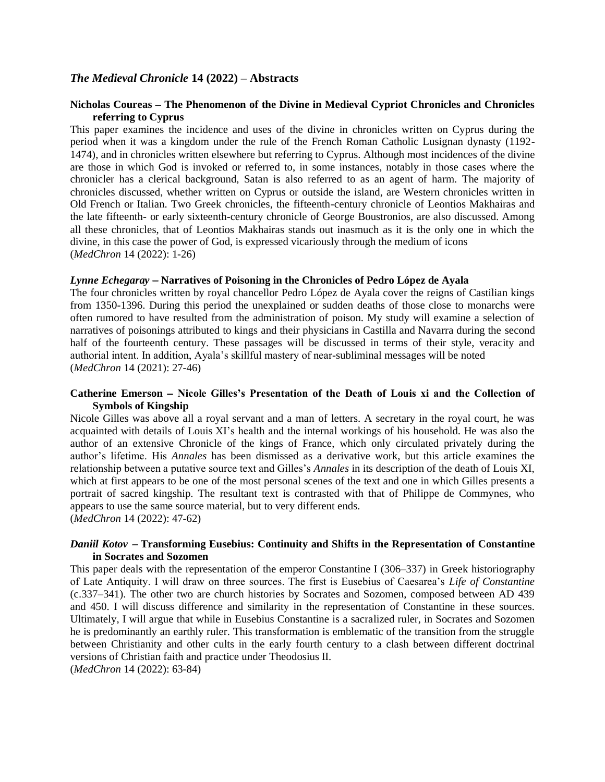## *The Medieval Chronicle* **14 (2022) – Abstracts**

## **Nicholas Coureas** − **The Phenomenon of the Divine in Medieval Cypriot Chronicles and Chronicles referring to Cyprus**

This paper examines the incidence and uses of the divine in chronicles written on Cyprus during the period when it was a kingdom under the rule of the French Roman Catholic Lusignan dynasty (1192- 1474), and in chronicles written elsewhere but referring to Cyprus. Although most incidences of the divine are those in which God is invoked or referred to, in some instances, notably in those cases where the chronicler has a clerical background, Satan is also referred to as an agent of harm. The majority of chronicles discussed, whether written on Cyprus or outside the island, are Western chronicles written in Old French or Italian. Two Greek chronicles, the fifteenth-century chronicle of Leontios Makhairas and the late fifteenth- or early sixteenth-century chronicle of George Boustronios, are also discussed. Among all these chronicles, that of Leontios Makhairas stands out inasmuch as it is the only one in which the divine, in this case the power of God, is expressed vicariously through the medium of icons (*MedChron* 14 (2022): 1-26)

## *Lynne Echegaray* − **Narratives of Poisoning in the Chronicles of Pedro López de Ayala**

The four chronicles written by royal chancellor Pedro López de Ayala cover the reigns of Castilian kings from 1350-1396. During this period the unexplained or sudden deaths of those close to monarchs were often rumored to have resulted from the administration of poison. My study will examine a selection of narratives of poisonings attributed to kings and their physicians in Castilla and Navarra during the second half of the fourteenth century. These passages will be discussed in terms of their style, veracity and authorial intent. In addition, Ayala's skillful mastery of near-subliminal messages will be noted (*MedChron* 14 (2021): 27-46)

## **Catherine Emerson** − **Nicole Gilles's Presentation of the Death of Louis xi and the Collection of Symbols of Kingship**

Nicole Gilles was above all a royal servant and a man of letters. A secretary in the royal court, he was acquainted with details of Louis XI's health and the internal workings of his household. He was also the author of an extensive Chronicle of the kings of France, which only circulated privately during the author's lifetime. His *Annales* has been dismissed as a derivative work, but this article examines the relationship between a putative source text and Gilles's *Annales* in its description of the death of Louis XI, which at first appears to be one of the most personal scenes of the text and one in which Gilles presents a portrait of sacred kingship. The resultant text is contrasted with that of Philippe de Commynes, who appears to use the same source material, but to very different ends. (*MedChron* 14 (2022): 47-62)

## *Daniil Kotov* <sup>−</sup> **Transforming Eusebius: Continuity and Shifts in the Representation of Constantine in Socrates and Sozomen**

This paper deals with the representation of the emperor Constantine I (306–337) in Greek historiography of Late Antiquity. I will draw on three sources. The first is Eusebius of Caesarea's *Life of Constantine* (c.337–341). The other two are church histories by Socrates and Sozomen, composed between AD 439 and 450. I will discuss difference and similarity in the representation of Constantine in these sources. Ultimately, I will argue that while in Eusebius Constantine is a sacralized ruler, in Socrates and Sozomen he is predominantly an earthly ruler. This transformation is emblematic of the transition from the struggle between Christianity and other cults in the early fourth century to a clash between different doctrinal versions of Christian faith and practice under Theodosius II.

(*MedChron* 14 (2022): 63-84)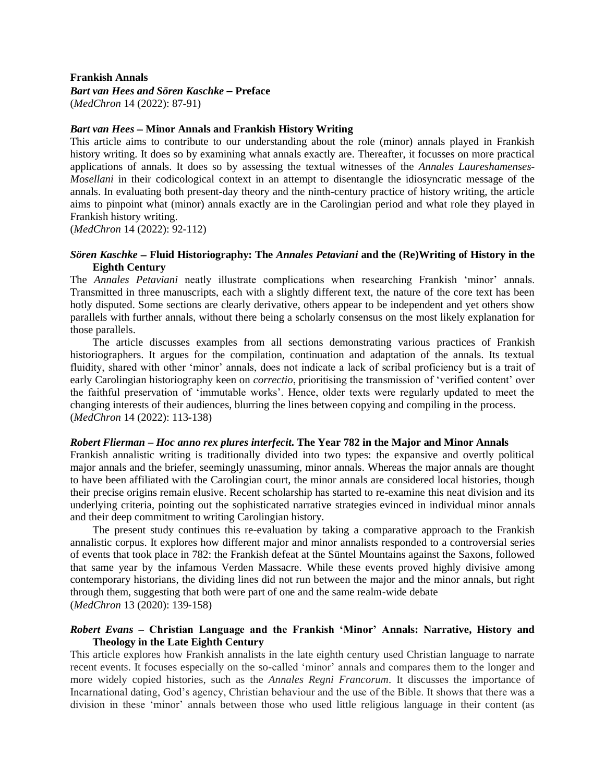#### **Frankish Annals**

# *Bart van Hees and Sören Kaschke* − **Preface**

(*MedChron* 14 (2022): 87-91)

## *Bart van Hees* − **Minor Annals and Frankish History Writing**

This article aims to contribute to our understanding about the role (minor) annals played in Frankish history writing. It does so by examining what annals exactly are. Thereafter, it focusses on more practical applications of annals. It does so by assessing the textual witnesses of the *Annales Laureshamenses-Mosellani* in their codicological context in an attempt to disentangle the idiosyncratic message of the annals. In evaluating both present-day theory and the ninth-century practice of history writing, the article aims to pinpoint what (minor) annals exactly are in the Carolingian period and what role they played in Frankish history writing.

(*MedChron* 14 (2022): 92-112)

## *Sören Kaschke* − **Fluid Historiography: The** *Annales Petaviani* **and the (Re)Writing of History in the Eighth Century**

The *Annales Petaviani* neatly illustrate complications when researching Frankish 'minor' annals. Transmitted in three manuscripts, each with a slightly different text, the nature of the core text has been hotly disputed. Some sections are clearly derivative, others appear to be independent and yet others show parallels with further annals, without there being a scholarly consensus on the most likely explanation for those parallels.

The article discusses examples from all sections demonstrating various practices of Frankish historiographers. It argues for the compilation, continuation and adaptation of the annals. Its textual fluidity, shared with other 'minor' annals, does not indicate a lack of scribal proficiency but is a trait of early Carolingian historiography keen on *correctio*, prioritising the transmission of 'verified content' over the faithful preservation of 'immutable works'. Hence, older texts were regularly updated to meet the changing interests of their audiences, blurring the lines between copying and compiling in the process. (*MedChron* 14 (2022): 113-138)

## *Robert Flierman* **–** *Hoc anno rex plures interfecit***. The Year 782 in the Major and Minor Annals**

Frankish annalistic writing is traditionally divided into two types: the expansive and overtly political major annals and the briefer, seemingly unassuming, minor annals. Whereas the major annals are thought to have been affiliated with the Carolingian court, the minor annals are considered local histories, though their precise origins remain elusive. Recent scholarship has started to re-examine this neat division and its underlying criteria, pointing out the sophisticated narrative strategies evinced in individual minor annals and their deep commitment to writing Carolingian history.

The present study continues this re-evaluation by taking a comparative approach to the Frankish annalistic corpus. It explores how different major and minor annalists responded to a controversial series of events that took place in 782: the Frankish defeat at the Süntel Mountains against the Saxons, followed that same year by the infamous Verden Massacre. While these events proved highly divisive among contemporary historians, the dividing lines did not run between the major and the minor annals, but right through them, suggesting that both were part of one and the same realm-wide debate (*MedChron* 13 (2020): 139-158)

# *Robert Evans* **– Christian Language and the Frankish 'Minor' Annals: Narrative, History and Theology in the Late Eighth Century**

This article explores how Frankish annalists in the late eighth century used Christian language to narrate recent events. It focuses especially on the so-called 'minor' annals and compares them to the longer and more widely copied histories, such as the *Annales Regni Francorum*. It discusses the importance of Incarnational dating, God's agency, Christian behaviour and the use of the Bible. It shows that there was a division in these 'minor' annals between those who used little religious language in their content (as